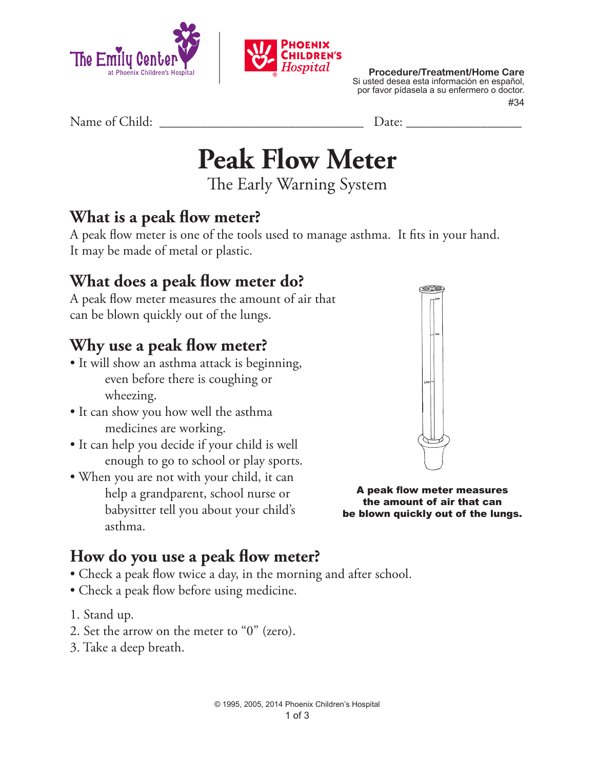



**Procedure/Treatment/Home Care** Si usted desea esta información en español, por favor pídasela a su enfermero o doctor. #34

Name of Child: <u>Date:</u>

**Peak Flow Meter**

The Early Warning System

#### **What is a peak flow meter?**

A peak flow meter is one of the tools used to manage asthma. It fits in your hand. It may be made of metal or plastic.

## **What does a peak flow meter do?**

A peak flow meter measures the amount of air that can be blown quickly out of the lungs.

### **Why use a peak flow meter?**

- It will show an asthma attack is beginning, even before there is coughing or wheezing.
- It can show you how well the asthma medicines are working.
- It can help you decide if your child is well enough to go to school or play sports.
- When you are not with your child, it can help a grandparent, school nurse or babysitter tell you about your child's asthma.



A peak flow meter measures the amount of air that can be blown quickly out of the lungs.

#### **How do you use a peak flow meter?**

- Check a peak flow twice a day, in the morning and after school.
- Check a peak flow before using medicine.
- 1. Stand up.
- 2. Set the arrow on the meter to "0" (zero).
- 3. Take a deep breath.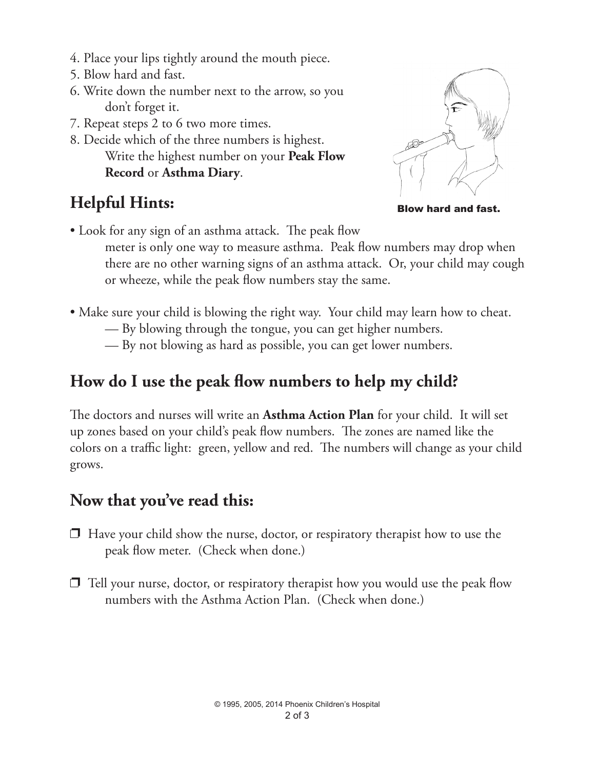- 4. Place your lips tightly around the mouth piece.
- 5. Blow hard and fast.
- 6. Write down the number next to the arrow, so you don't forget it.
- 7. Repeat steps 2 to 6 two more times.
- 8. Decide which of the three numbers is highest. Write the highest number on your **Peak Flow Record** or **Asthma Diary**.

# **Helpful Hints:**



Blow hard and fast.

• Look for any sign of an asthma attack. The peak flow

meter is only one way to measure asthma. Peak flow numbers may drop when there are no other warning signs of an asthma attack. Or, your child may cough or wheeze, while the peak flow numbers stay the same.

- Make sure your child is blowing the right way. Your child may learn how to cheat.
	- By blowing through the tongue, you can get higher numbers.
	- By not blowing as hard as possible, you can get lower numbers.

## **How do I use the peak flow numbers to help my child?**

The doctors and nurses will write an **Asthma Action Plan** for your child. It will set up zones based on your child's peak flow numbers. The zones are named like the colors on a traffic light: green, yellow and red. The numbers will change as your child grows.

#### **Now that you've read this:**

- $\Box$  Have your child show the nurse, doctor, or respiratory therapist how to use the peak flow meter. (Check when done.)
- $\Box$  Tell your nurse, doctor, or respiratory therapist how you would use the peak flow numbers with the Asthma Action Plan. (Check when done.)